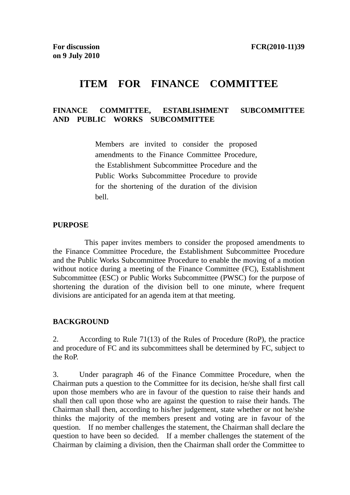# **ITEM FOR FINANCE COMMITTEE**

### **FINANCE COMMITTEE, ESTABLISHMENT SUBCOMMITTEE AND PUBLIC WORKS SUBCOMMITTEE**

Members are invited to consider the proposed amendments to the Finance Committee Procedure, the Establishment Subcommittee Procedure and the Public Works Subcommittee Procedure to provide for the shortening of the duration of the division bell.

#### **PURPOSE**

 This paper invites members to consider the proposed amendments to the Finance Committee Procedure, the Establishment Subcommittee Procedure and the Public Works Subcommittee Procedure to enable the moving of a motion without notice during a meeting of the Finance Committee (FC), Establishment Subcommittee (ESC) or Public Works Subcommittee (PWSC) for the purpose of shortening the duration of the division bell to one minute, where frequent divisions are anticipated for an agenda item at that meeting.

#### **BACKGROUND**

2. According to Rule 71(13) of the Rules of Procedure (RoP), the practice and procedure of FC and its subcommittees shall be determined by FC, subject to the RoP.

3. Under paragraph 46 of the Finance Committee Procedure, when the Chairman puts a question to the Committee for its decision, he/she shall first call upon those members who are in favour of the question to raise their hands and shall then call upon those who are against the question to raise their hands. The Chairman shall then, according to his/her judgement, state whether or not he/she thinks the majority of the members present and voting are in favour of the question. If no member challenges the statement, the Chairman shall declare the question to have been so decided. If a member challenges the statement of the Chairman by claiming a division, then the Chairman shall order the Committee to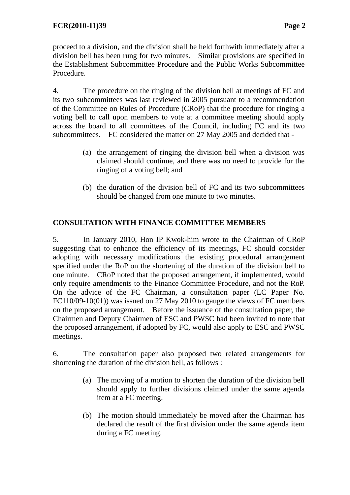proceed to a division, and the division shall be held forthwith immediately after a division bell has been rung for two minutes. Similar provisions are specified in the Establishment Subcommittee Procedure and the Public Works Subcommittee Procedure.

4. The procedure on the ringing of the division bell at meetings of FC and its two subcommittees was last reviewed in 2005 pursuant to a recommendation of the Committee on Rules of Procedure (CRoP) that the procedure for ringing a voting bell to call upon members to vote at a committee meeting should apply across the board to all committees of the Council, including FC and its two subcommittees. FC considered the matter on 27 May 2005 and decided that -

- (a) the arrangement of ringing the division bell when a division was claimed should continue, and there was no need to provide for the ringing of a voting bell; and
- (b) the duration of the division bell of FC and its two subcommittees should be changed from one minute to two minutes.

## **CONSULTATION WITH FINANCE COMMITTEE MEMBERS**

5. In January 2010, Hon IP Kwok-him wrote to the Chairman of CRoP suggesting that to enhance the efficiency of its meetings, FC should consider adopting with necessary modifications the existing procedural arrangement specified under the RoP on the shortening of the duration of the division bell to one minute. CRoP noted that the proposed arrangement, if implemented, would only require amendments to the Finance Committee Procedure, and not the RoP. On the advice of the FC Chairman, a consultation paper (LC Paper No. FC110/09-10(01)) was issued on 27 May 2010 to gauge the views of FC members on the proposed arrangement. Before the issuance of the consultation paper, the Chairmen and Deputy Chairmen of ESC and PWSC had been invited to note that the proposed arrangement, if adopted by FC, would also apply to ESC and PWSC meetings.

6. The consultation paper also proposed two related arrangements for shortening the duration of the division bell, as follows :

- (a) The moving of a motion to shorten the duration of the division bell should apply to further divisions claimed under the same agenda item at a FC meeting.
- (b) The motion should immediately be moved after the Chairman has declared the result of the first division under the same agenda item during a FC meeting.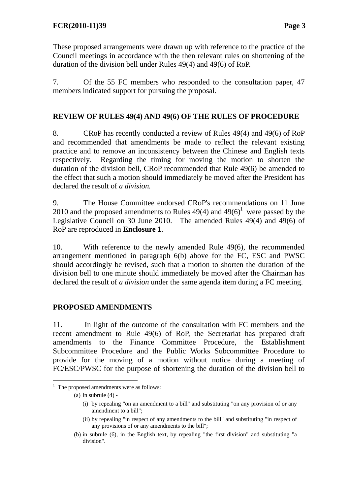These proposed arrangements were drawn up with reference to the practice of the Council meetings in accordance with the then relevant rules on shortening of the duration of the division bell under Rules 49(4) and 49(6) of RoP.

7. Of the 55 FC members who responded to the consultation paper, 47 members indicated support for pursuing the proposal.

## **REVIEW OF RULES 49(4) AND 49(6) OF THE RULES OF PROCEDURE**

8. CRoP has recently conducted a review of Rules 49(4) and 49(6) of RoP and recommended that amendments be made to reflect the relevant existing practice and to remove an inconsistency between the Chinese and English texts respectively. Regarding the timing for moving the motion to shorten the duration of the division bell, CRoP recommended that Rule 49(6) be amended to the effect that such a motion should immediately be moved after the President has declared the result of *a division.* 

9. The House Committee endorsed CRoP's recommendations on 11 June 2010 and the proposed amendments to Rules  $49(4)$  and  $49(6)^{1}$  were passed by the Legislative Council on 30 June 2010. The amended Rules 49(4) and 49(6) of RoP are reproduced in **Enclosure 1**.

10. With reference to the newly amended Rule 49(6), the recommended arrangement mentioned in paragraph 6(b) above for the FC, ESC and PWSC should accordingly be revised, such that a motion to shorten the duration of the division bell to one minute should immediately be moved after the Chairman has declared the result of *a division* under the same agenda item during a FC meeting.

## **PROPOSED AMENDMENTS**

11. In light of the outcome of the consultation with FC members and the recent amendment to Rule 49(6) of RoP, the Secretariat has prepared draft amendments to the Finance Committee Procedure, the Establishment Subcommittee Procedure and the Public Works Subcommittee Procedure to provide for the moving of a motion without notice during a meeting of FC/ESC/PWSC for the purpose of shortening the duration of the division bell to

<sup>1</sup> <sup>1</sup> The proposed amendments were as follows:

<sup>(</sup>a) in subrule  $(4)$  -

<sup>(</sup>i) by repealing "on an amendment to a bill" and substituting "on any provision of or any amendment to a bill";

<sup>(</sup>ii) by repealing "in respect of any amendments to the bill" and substituting "in respect of any provisions of or any amendments to the bill";

<sup>(</sup>b) in subrule (6), in the English text, by repealing "the first division" and substituting "a division".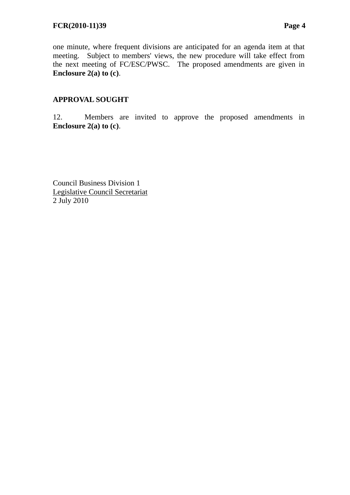one minute, where frequent divisions are anticipated for an agenda item at that meeting. Subject to members' views, the new procedure will take effect from the next meeting of FC/ESC/PWSC. The proposed amendments are given in **Enclosure 2(a) to (c)**.

## **APPROVAL SOUGHT**

12. Members are invited to approve the proposed amendments in **Enclosure 2(a) to (c)**.

Council Business Division 1 Legislative Council Secretariat 2 July 2010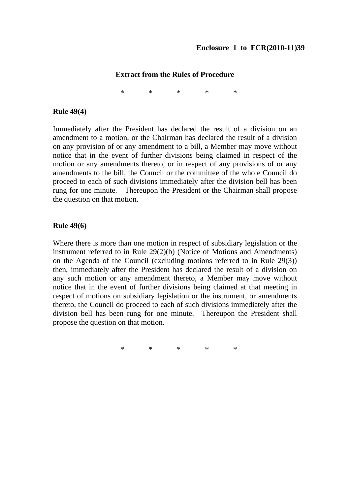#### **Extract from the Rules of Procedure**

\* \* \* \* \*

#### **Rule 49(4)**

Immediately after the President has declared the result of a division on an amendment to a motion, or the Chairman has declared the result of a division on any provision of or any amendment to a bill, a Member may move without notice that in the event of further divisions being claimed in respect of the motion or any amendments thereto, or in respect of any provisions of or any amendments to the bill, the Council or the committee of the whole Council do proceed to each of such divisions immediately after the division bell has been rung for one minute. Thereupon the President or the Chairman shall propose the question on that motion.

#### **Rule 49(6)**

Where there is more than one motion in respect of subsidiary legislation or the instrument referred to in Rule 29(2)(b) (Notice of Motions and Amendments) on the Agenda of the Council (excluding motions referred to in Rule 29(3)) then, immediately after the President has declared the result of a division on any such motion or any amendment thereto, a Member may move without notice that in the event of further divisions being claimed at that meeting in respect of motions on subsidiary legislation or the instrument, or amendments thereto, the Council do proceed to each of such divisions immediately after the division bell has been rung for one minute. Thereupon the President shall propose the question on that motion.

\* \* \* \* \*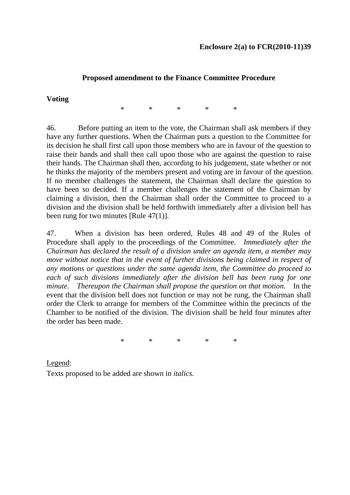## **Proposed amendment to the Finance Committee Procedure**

### **Voting**

\* \* \* \* \*

46. Before putting an item to the vote, the Chairman shall ask members if they have any further questions. When the Chairman puts a question to the Committee for its decision he shall first call upon those members who are in favour of the question to raise their hands and shall then call upon those who are against the question to raise their hands. The Chairman shall then, according to his judgement, state whether or not he thinks the majority of the members present and voting are in favour of the question. If no member challenges the statement, the Chairman shall declare the question to have been so decided. If a member challenges the statement of the Chairman by claiming a division, then the Chairman shall order the Committee to proceed to a division and the division shall be held forthwith immediately after a division bell has been rung for two minutes [Rule 47(1)].

47. When a division has been ordered, Rules 48 and 49 of the Rules of Procedure shall apply to the proceedings of the Committee. *Immediately after the Chairman has declared the result of a division under an agenda item, a member may move without notice that in the event of further divisions being claimed in respect of any motions or questions under the same agenda item, the Committee do proceed to each of such divisions immediately after the division bell has been rung for one minute. Thereupon the Chairman shall propose the question on that motion.* In the event that the division bell does not function or may not be rung, the Chairman shall order the Clerk to arrange for members of the Committee within the precincts of the Chamber to be notified of the division. The division shall be held four minutes after the order has been made.

\* \* \* \* \*

Legend: Texts proposed to be added are shown in *italics.*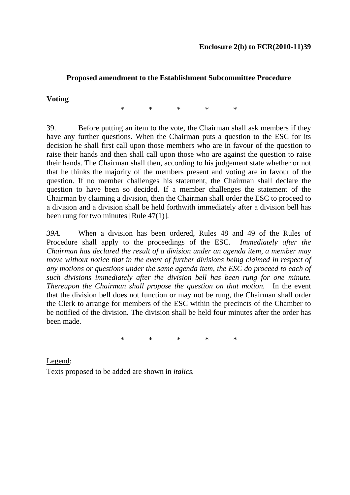### **Proposed amendment to the Establishment Subcommittee Procedure**

#### **Voting**

\* \* \* \* \*

39. Before putting an item to the vote, the Chairman shall ask members if they have any further questions. When the Chairman puts a question to the ESC for its decision he shall first call upon those members who are in favour of the question to raise their hands and then shall call upon those who are against the question to raise their hands. The Chairman shall then, according to his judgement state whether or not that he thinks the majority of the members present and voting are in favour of the question. If no member challenges his statement, the Chairman shall declare the question to have been so decided. If a member challenges the statement of the Chairman by claiming a division, then the Chairman shall order the ESC to proceed to a division and a division shall be held forthwith immediately after a division bell has been rung for two minutes [Rule 47(1)].

*39A.* When a division has been ordered, Rules 48 and 49 of the Rules of Procedure shall apply to the proceedings of the ESC. *Immediately after the Chairman has declared the result of a division under an agenda item, a member may move without notice that in the event of further divisions being claimed in respect of any motions or questions under the same agenda item, the ESC do proceed to each of such divisions immediately after the division bell has been rung for one minute. Thereupon the Chairman shall propose the question on that motion.* In the event that the division bell does not function or may not be rung, the Chairman shall order the Clerk to arrange for members of the ESC within the precincts of the Chamber to be notified of the division. The division shall be held four minutes after the order has been made.

\* \* \* \* \*

Legend: Texts proposed to be added are shown in *italics.*